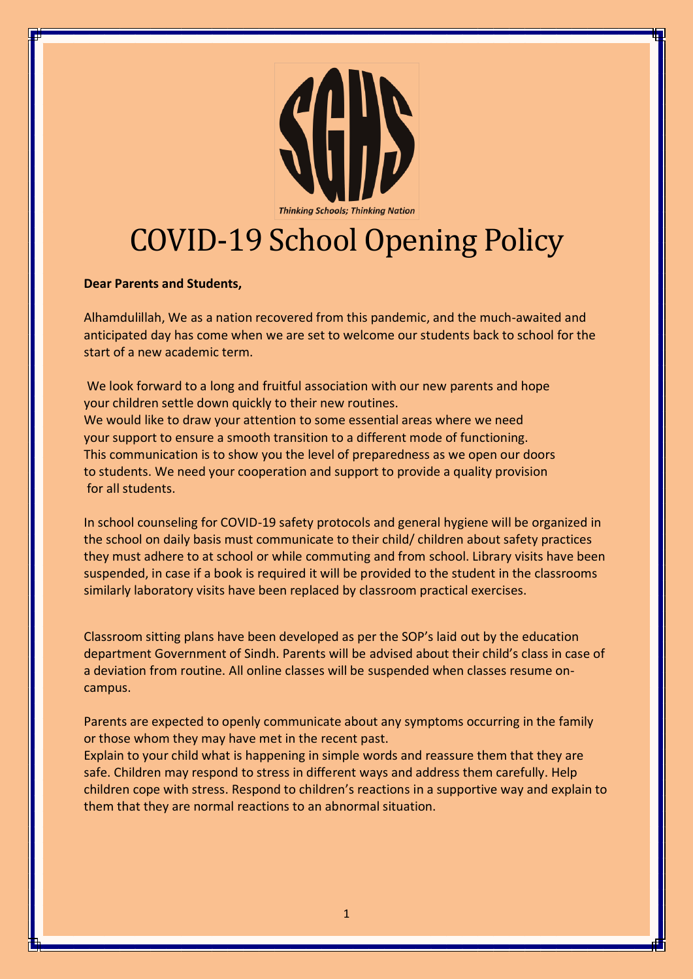

# COVID-19 School Opening Policy

#### **Dear Parents and Students,**

Alhamdulillah, We as a nation recovered from this pandemic, and the much-awaited and anticipated day has come when we are set to welcome our students back to school for the start of a new academic term.

We look forward to a long and fruitful association with our new parents and hope your children settle down quickly to their new routines. We would like to draw your attention to some essential areas where we need your support to ensure a smooth transition to a different mode of functioning. This communication is to show you the level of preparedness as we open our doors to students. We need your cooperation and support to provide a quality provision for all students.

In school counseling for COVID-19 safety protocols and general hygiene will be organized in the school on daily basis must communicate to their child/ children about safety practices they must adhere to at school or while commuting and from school. Library visits have been suspended, in case if a book is required it will be provided to the student in the classrooms similarly laboratory visits have been replaced by classroom practical exercises.

Classroom sitting plans have been developed as per the SOP's laid out by the education department Government of Sindh. Parents will be advised about their child's class in case of a deviation from routine. All online classes will be suspended when classes resume oncampus.

Parents are expected to openly communicate about any symptoms occurring in the family or those whom they may have met in the recent past.

Explain to your child what is happening in simple words and reassure them that they are safe. Children may respond to stress in different ways and address them carefully. Help children cope with stress. Respond to children's reactions in a supportive way and explain to them that they are normal reactions to an abnormal situation.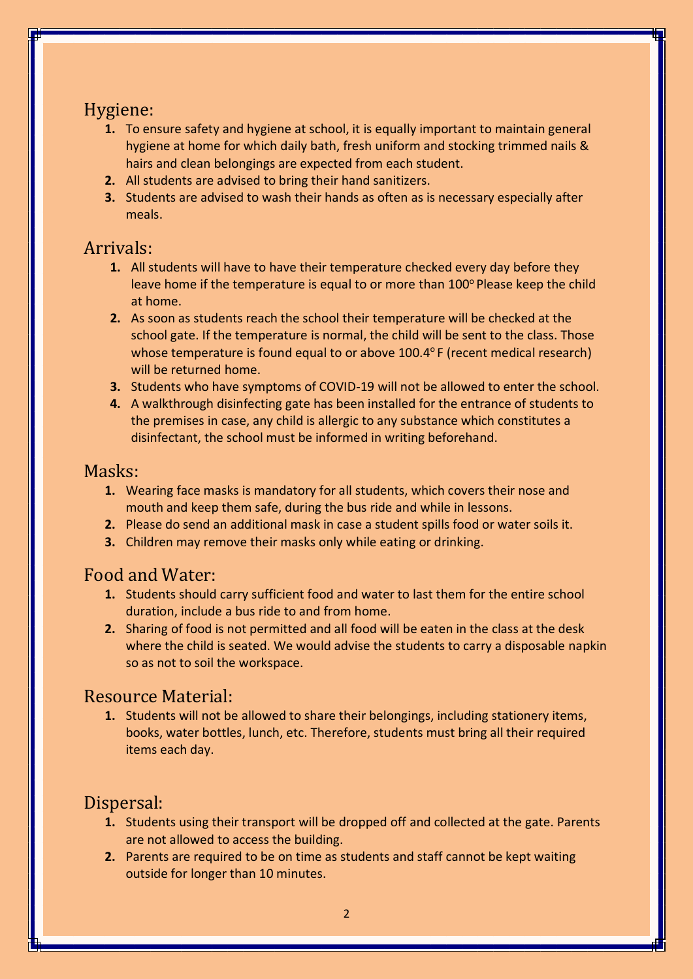## Hygiene:

- **1.** To ensure safety and hygiene at school, it is equally important to maintain general hygiene at home for which daily bath, fresh uniform and stocking trimmed nails & hairs and clean belongings are expected from each student.
- **2.** All students are advised to bring their hand sanitizers.
- **3.** Students are advised to wash their hands as often as is necessary especially after meals.

## Arrivals:

- **1.** All students will have to have their temperature checked every day before they leave home if the temperature is equal to or more than  $100^\circ$  Please keep the child at home.
- **2.** As soon as students reach the school their temperature will be checked at the school gate. If the temperature is normal, the child will be sent to the class. Those whose temperature is found equal to or above  $100.4^{\circ}$  F (recent medical research) will be returned home.
- **3.** Students who have symptoms of COVID-19 will not be allowed to enter the school.
- **4.** A walkthrough disinfecting gate has been installed for the entrance of students to the premises in case, any child is allergic to any substance which constitutes a disinfectant, the school must be informed in writing beforehand.

#### Masks:

- **1.** Wearing face masks is mandatory for all students, which covers their nose and mouth and keep them safe, during the bus ride and while in lessons.
- **2.** Please do send an additional mask in case a student spills food or water soils it.
- **3.** Children may remove their masks only while eating or drinking.

#### Food and Water:

- **1.** Students should carry sufficient food and water to last them for the entire school duration, include a bus ride to and from home.
- **2.** Sharing of food is not permitted and all food will be eaten in the class at the desk where the child is seated. We would advise the students to carry a disposable napkin so as not to soil the workspace.

#### Resource Material:

**1.** Students will not be allowed to share their belongings, including stationery items, books, water bottles, lunch, etc. Therefore, students must bring all their required items each day.

# Dispersal:

- **1.** Students using their transport will be dropped off and collected at the gate. Parents are not allowed to access the building.
- **2.** Parents are required to be on time as students and staff cannot be kept waiting outside for longer than 10 minutes.